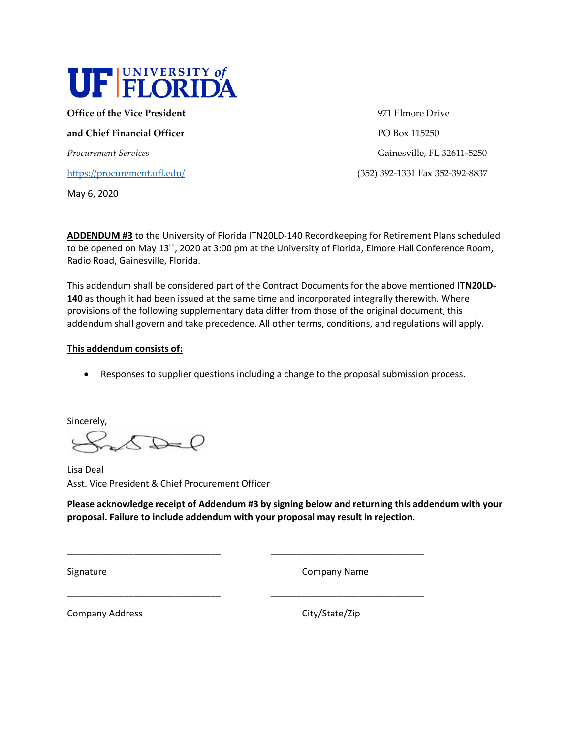

**Office of the Vice President 1971** Elmore Drive

**and Chief Financial Officer PO Box 115250** 

<https://procurement.ufl.edu/>(352) 392-1331 Fax 352-392-8837

May 6, 2020

Procurement Services **Gainesville, FL 32611-5250** 

**ADDENDUM #3** to the University of Florida ITN20LD-140 Recordkeeping for Retirement Plans scheduled to be opened on May  $13<sup>th</sup>$ , 2020 at 3:00 pm at the University of Florida, Elmore Hall Conference Room, Radio Road, Gainesville, Florida.

This addendum shall be considered part of the Contract Documents for the above mentioned **ITN20LD-140** as though it had been issued at the same time and incorporated integrally therewith. Where provisions of the following supplementary data differ from those of the original document, this addendum shall govern and take precedence. All other terms, conditions, and regulations will apply.

# **This addendum consists of:**

• Responses to supplier questions including a change to the proposal submission process.

Sincerely,

 $\triangle$ 

Lisa Deal Asst. Vice President & Chief Procurement Officer

**Please acknowledge receipt of Addendum #3 by signing below and returning this addendum with your proposal. Failure to include addendum with your proposal may result in rejection.** 

\_\_\_\_\_\_\_\_\_\_\_\_\_\_\_\_\_\_\_\_\_\_\_\_\_\_\_\_\_\_ \_\_\_\_\_\_\_\_\_\_\_\_\_\_\_\_\_\_\_\_\_\_\_\_\_\_\_\_\_\_

\_\_\_\_\_\_\_\_\_\_\_\_\_\_\_\_\_\_\_\_\_\_\_\_\_\_\_\_\_\_ \_\_\_\_\_\_\_\_\_\_\_\_\_\_\_\_\_\_\_\_\_\_\_\_\_\_\_\_\_\_

Signature Company Name

Company Address Company Address City/State/Zip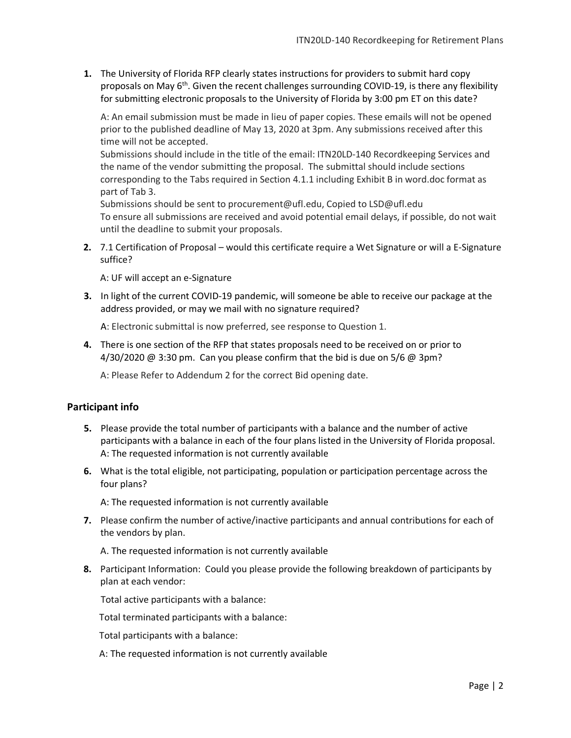**1.** The University of Florida RFP clearly states instructions for providers to submit hard copy proposals on May  $6<sup>th</sup>$ . Given the recent challenges surrounding COVID-19, is there any flexibility for submitting electronic proposals to the University of Florida by 3:00 pm ET on this date?

A: An email submission must be made in lieu of paper copies. These emails will not be opened prior to the published deadline of May 13, 2020 at 3pm. Any submissions received after this time will not be accepted.

Submissions should include in the title of the email: ITN20LD-140 Recordkeeping Services and the name of the vendor submitting the proposal. The submittal should include sections corresponding to the Tabs required in Section 4.1.1 including Exhibit B in word.doc format as part of Tab 3.

Submissions should be sent to procurement@ufl.edu, Copied to LSD@ufl.edu To ensure all submissions are received and avoid potential email delays, if possible, do not wait until the deadline to submit your proposals.

**2.** 7.1 Certification of Proposal – would this certificate require a Wet Signature or will a E-Signature suffice?

A: UF will accept an e-Signature

**3.** In light of the current COVID-19 pandemic, will someone be able to receive our package at the address provided, or may we mail with no signature required?

A: Electronic submittal is now preferred, see response to Question 1.

**4.** There is one section of the RFP that states proposals need to be received on or prior to  $4/30/2020 \text{ } \textcircled{a} 3:30 \text{ pm}$ . Can you please confirm that the bid is due on 5/6  $\textcircled{a} 3 \text{pm?}$ 

A: Please Refer to Addendum 2 for the correct Bid opening date.

# **Participant info**

- **5.** Please provide the total number of participants with a balance and the number of active participants with a balance in each of the four plans listed in the University of Florida proposal. A: The requested information is not currently available
- **6.** What is the total eligible, not participating, population or participation percentage across the four plans?

A: The requested information is not currently available

**7.** Please confirm the number of active/inactive participants and annual contributions for each of the vendors by plan.

A. The requested information is not currently available

**8.** Participant Information: Could you please provide the following breakdown of participants by plan at each vendor:

Total active participants with a balance:

Total terminated participants with a balance:

Total participants with a balance: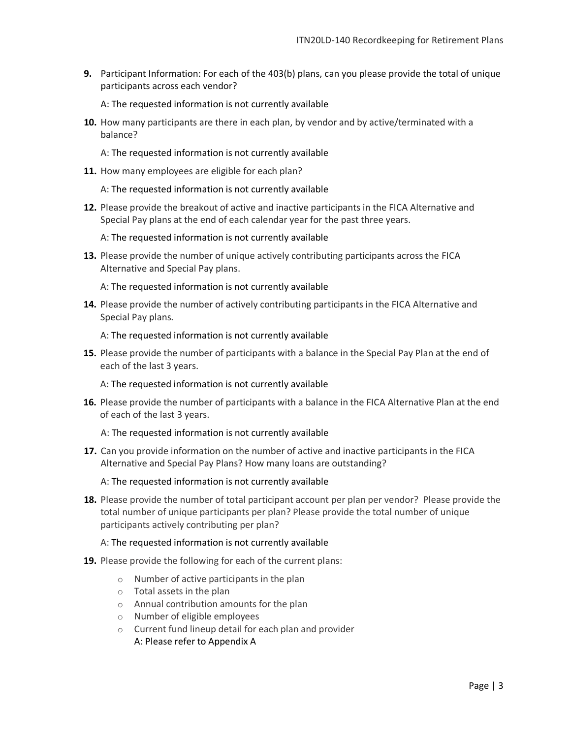**9.** Participant Information: For each of the 403(b) plans, can you please provide the total of unique participants across each vendor?

A: The requested information is not currently available

- **10.** How many participants are there in each plan, by vendor and by active/terminated with a balance?
	- A: The requested information is not currently available
- **11.** How many employees are eligible for each plan?
	- A: The requested information is not currently available
- **12.** Please provide the breakout of active and inactive participants in the FICA Alternative and Special Pay plans at the end of each calendar year for the past three years.
	- A: The requested information is not currently available
- **13.** Please provide the number of unique actively contributing participants across the FICA Alternative and Special Pay plans.

A: The requested information is not currently available

**14.** Please provide the number of actively contributing participants in the FICA Alternative and Special Pay plans.

A: The requested information is not currently available

- **15.** Please provide the number of participants with a balance in the Special Pay Plan at the end of each of the last 3 years.
	- A: The requested information is not currently available
- **16.** Please provide the number of participants with a balance in the FICA Alternative Plan at the end of each of the last 3 years.

A: The requested information is not currently available

**17.** Can you provide information on the number of active and inactive participants in the FICA Alternative and Special Pay Plans? How many loans are outstanding?

#### A: The requested information is not currently available

**18.** Please provide the number of total participant account per plan per vendor? Please provide the total number of unique participants per plan? Please provide the total number of unique participants actively contributing per plan?

- **19.** Please provide the following for each of the current plans:
	- o Number of active participants in the plan
	- o Total assets in the plan
	- o Annual contribution amounts for the plan
	- o Number of eligible employees
	- o Current fund lineup detail for each plan and provider A: Please refer to Appendix A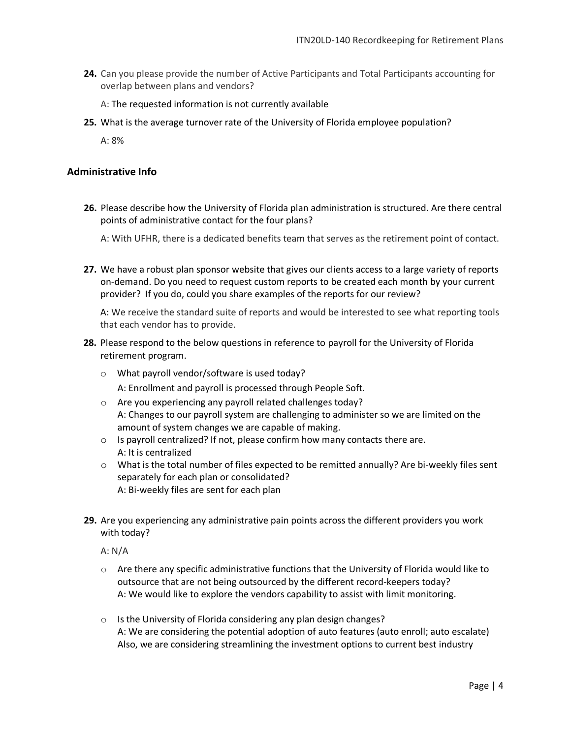**24.** Can you please provide the number of Active Participants and Total Participants accounting for overlap between plans and vendors?

A: The requested information is not currently available

**25.** What is the average turnover rate of the University of Florida employee population?

A: 8%

# **Administrative Info**

**26.** Please describe how the University of Florida plan administration is structured. Are there central points of administrative contact for the four plans?

A: With UFHR, there is a dedicated benefits team that serves as the retirement point of contact.

**27.** We have a robust plan sponsor website that gives our clients access to a large variety of reports on-demand. Do you need to request custom reports to be created each month by your current provider? If you do, could you share examples of the reports for our review?

A: We receive the standard suite of reports and would be interested to see what reporting tools that each vendor has to provide.

- **28.** Please respond to the below questions in reference to payroll for the University of Florida retirement program.
	- o What payroll vendor/software is used today? A: Enrollment and payroll is processed through People Soft.
	- o Are you experiencing any payroll related challenges today? A: Changes to our payroll system are challenging to administer so we are limited on the amount of system changes we are capable of making.
	- o Is payroll centralized? If not, please confirm how many contacts there are. A: It is centralized
	- o What is the total number of files expected to be remitted annually? Are bi-weekly files sent separately for each plan or consolidated? A: Bi-weekly files are sent for each plan
- **29.** Are you experiencing any administrative pain points across the different providers you work with today?

A: N/A

- o Are there any specific administrative functions that the University of Florida would like to outsource that are not being outsourced by the different record-keepers today? A: We would like to explore the vendors capability to assist with limit monitoring.
- o Is the University of Florida considering any plan design changes? A: We are considering the potential adoption of auto features (auto enroll; auto escalate) Also, we are considering streamlining the investment options to current best industry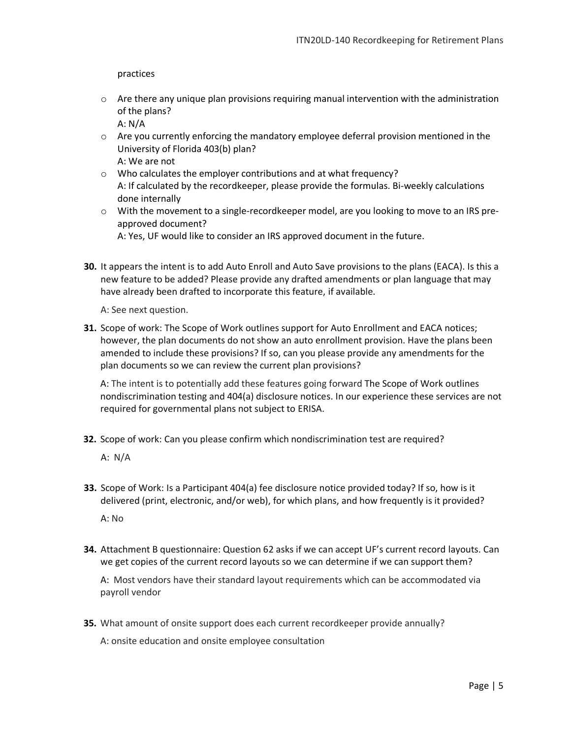practices

- $\circ$  Are there any unique plan provisions requiring manual intervention with the administration of the plans? A: N/A
- $\circ$  Are you currently enforcing the mandatory employee deferral provision mentioned in the University of Florida 403(b) plan? A: We are not
- o Who calculates the employer contributions and at what frequency? A: If calculated by the recordkeeper, please provide the formulas. Bi-weekly calculations done internally
- o With the movement to a single-recordkeeper model, are you looking to move to an IRS preapproved document?

A: Yes, UF would like to consider an IRS approved document in the future.

**30.** It appears the intent is to add Auto Enroll and Auto Save provisions to the plans (EACA). Is this a new feature to be added? Please provide any drafted amendments or plan language that may have already been drafted to incorporate this feature, if available.

A: See next question.

**31.** Scope of work: The Scope of Work outlines support for Auto Enrollment and EACA notices; however, the plan documents do not show an auto enrollment provision. Have the plans been amended to include these provisions? If so, can you please provide any amendments for the plan documents so we can review the current plan provisions?

A: The intent is to potentially add these features going forward The Scope of Work outlines nondiscrimination testing and 404(a) disclosure notices. In our experience these services are not required for governmental plans not subject to ERISA.

**32.** Scope of work: Can you please confirm which nondiscrimination test are required?

A: N/A

**33.** Scope of Work: Is a Participant 404(a) fee disclosure notice provided today? If so, how is it delivered (print, electronic, and/or web), for which plans, and how frequently is it provided?

A: No

**34.** Attachment B questionnaire: Question 62 asks if we can accept UF's current record layouts. Can we get copies of the current record layouts so we can determine if we can support them?

A: Most vendors have their standard layout requirements which can be accommodated via payroll vendor

**35.** What amount of onsite support does each current recordkeeper provide annually?

A: onsite education and onsite employee consultation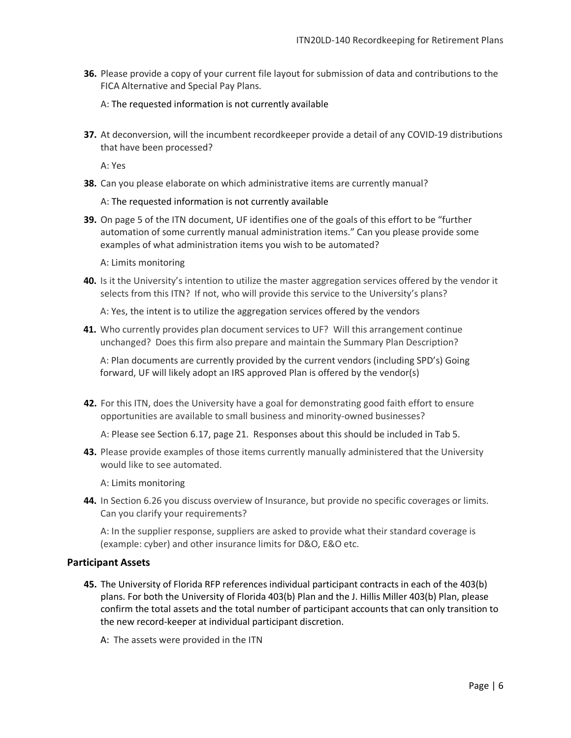**36.** Please provide a copy of your current file layout for submission of data and contributions to the FICA Alternative and Special Pay Plans.

A: The requested information is not currently available

**37.** At deconversion, will the incumbent recordkeeper provide a detail of any COVID-19 distributions that have been processed?

A: Yes

**38.** Can you please elaborate on which administrative items are currently manual?

A: The requested information is not currently available

**39.** On page 5 of the ITN document, UF identifies one of the goals of this effort to be "further automation of some currently manual administration items." Can you please provide some examples of what administration items you wish to be automated?

A: Limits monitoring

**40.** Is it the University's intention to utilize the master aggregation services offered by the vendor it selects from this ITN? If not, who will provide this service to the University's plans?

A: Yes, the intent is to utilize the aggregation services offered by the vendors

**41.** Who currently provides plan document services to UF? Will this arrangement continue unchanged? Does this firm also prepare and maintain the Summary Plan Description?

A: Plan documents are currently provided by the current vendors (including SPD's) Going forward, UF will likely adopt an IRS approved Plan is offered by the vendor(s)

**42.** For this ITN, does the University have a goal for demonstrating good faith effort to ensure opportunities are available to small business and minority-owned businesses?

A: Please see Section 6.17, page 21.Responses about this should be included in Tab 5.

**43.** Please provide examples of those items currently manually administered that the University would like to see automated.

A: Limits monitoring

**44.** In Section 6.26 you discuss overview of Insurance, but provide no specific coverages or limits. Can you clarify your requirements?

A: In the supplier response, suppliers are asked to provide what their standard coverage is (example: cyber) and other insurance limits for D&O, E&O etc.

# **Participant Assets**

- **45.** The University of Florida RFP references individual participant contracts in each of the 403(b) plans. For both the University of Florida 403(b) Plan and the J. Hillis Miller 403(b) Plan, please confirm the total assets and the total number of participant accounts that can only transition to the new record-keeper at individual participant discretion.
	- A: The assets were provided in the ITN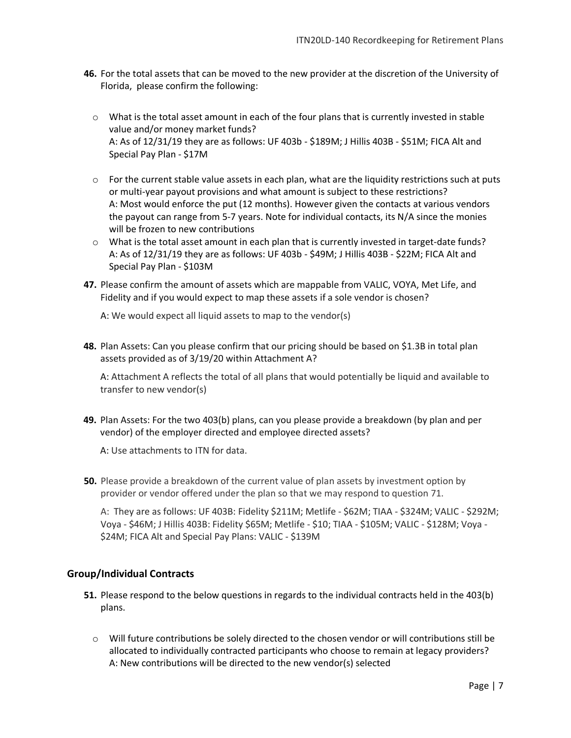- **46.** For the total assets that can be moved to the new provider at the discretion of the University of Florida, please confirm the following:
	- o What is the total asset amount in each of the four plans that is currently invested in stable value and/or money market funds? A: As of 12/31/19 they are as follows: UF 403b - \$189M; J Hillis 403B - \$51M; FICA Alt and Special Pay Plan - \$17M
	- $\circ$  For the current stable value assets in each plan, what are the liquidity restrictions such at puts or multi-year payout provisions and what amount is subject to these restrictions? A: Most would enforce the put (12 months). However given the contacts at various vendors the payout can range from 5-7 years. Note for individual contacts, its N/A since the monies will be frozen to new contributions
	- o What is the total asset amount in each plan that is currently invested in target-date funds? A: As of 12/31/19 they are as follows: UF 403b - \$49M; J Hillis 403B - \$22M; FICA Alt and Special Pay Plan - \$103M
- **47.** Please confirm the amount of assets which are mappable from VALIC, VOYA, Met Life, and Fidelity and if you would expect to map these assets if a sole vendor is chosen?

A: We would expect all liquid assets to map to the vendor(s)

**48.** Plan Assets: Can you please confirm that our pricing should be based on \$1.3B in total plan assets provided as of 3/19/20 within Attachment A?

A: Attachment A reflects the total of all plans that would potentially be liquid and available to transfer to new vendor(s)

**49.** Plan Assets: For the two 403(b) plans, can you please provide a breakdown (by plan and per vendor) of the employer directed and employee directed assets?

A: Use attachments to ITN for data.

**50.** Please provide a breakdown of the current value of plan assets by investment option by provider or vendor offered under the plan so that we may respond to question 71.

A: They are as follows: UF 403B: Fidelity \$211M; Metlife - \$62M; TIAA - \$324M; VALIC - \$292M; Voya - \$46M; J Hillis 403B: Fidelity \$65M; Metlife - \$10; TIAA - \$105M; VALIC - \$128M; Voya - \$24M; FICA Alt and Special Pay Plans: VALIC - \$139M

# **Group/Individual Contracts**

- **51.** Please respond to the below questions in regards to the individual contracts held in the 403(b) plans.
	- o Will future contributions be solely directed to the chosen vendor or will contributions still be allocated to individually contracted participants who choose to remain at legacy providers? A: New contributions will be directed to the new vendor(s) selected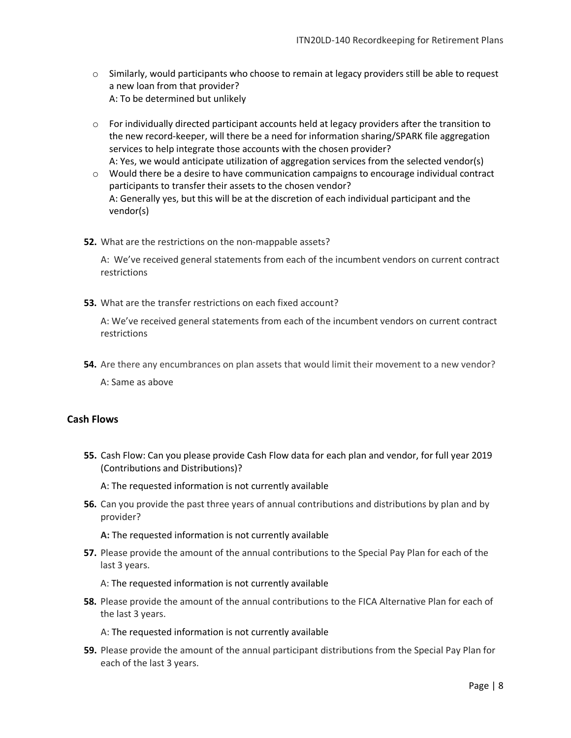- o Similarly, would participants who choose to remain at legacy providers still be able to request a new loan from that provider? A: To be determined but unlikely
- o For individually directed participant accounts held at legacy providers after the transition to the new record-keeper, will there be a need for information sharing/SPARK file aggregation services to help integrate those accounts with the chosen provider? A: Yes, we would anticipate utilization of aggregation services from the selected vendor(s)
- $\circ$  Would there be a desire to have communication campaigns to encourage individual contract participants to transfer their assets to the chosen vendor? A: Generally yes, but this will be at the discretion of each individual participant and the vendor(s)
- **52.** What are the restrictions on the non-mappable assets?

A: We've received general statements from each of the incumbent vendors on current contract restrictions

**53.** What are the transfer restrictions on each fixed account?

A: We've received general statements from each of the incumbent vendors on current contract restrictions

**54.** Are there any encumbrances on plan assets that would limit their movement to a new vendor?

A: Same as above

# **Cash Flows**

**55.** Cash Flow: Can you please provide Cash Flow data for each plan and vendor, for full year 2019 (Contributions and Distributions)?

A: The requested information is not currently available

**56.** Can you provide the past three years of annual contributions and distributions by plan and by provider?

**A:** The requested information is not currently available

**57.** Please provide the amount of the annual contributions to the Special Pay Plan for each of the last 3 years.

A: The requested information is not currently available

**58.** Please provide the amount of the annual contributions to the FICA Alternative Plan for each of the last 3 years.

A: The requested information is not currently available

**59.** Please provide the amount of the annual participant distributions from the Special Pay Plan for each of the last 3 years.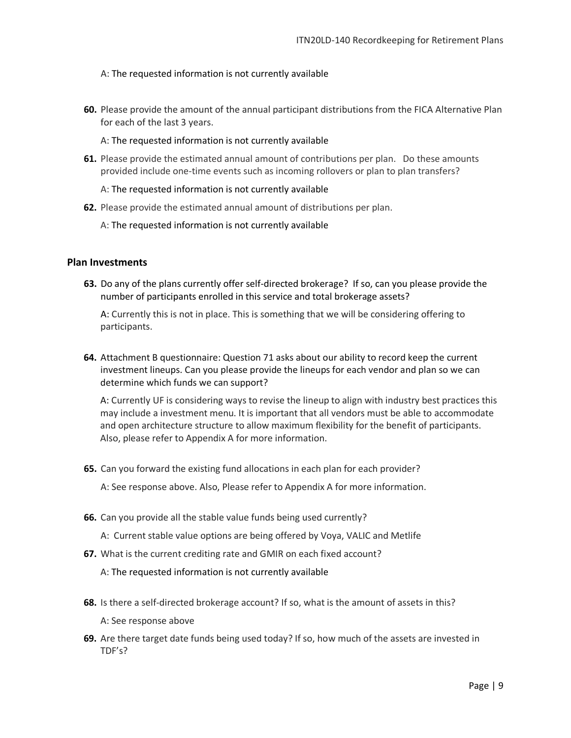#### A: The requested information is not currently available

**60.** Please provide the amount of the annual participant distributions from the FICA Alternative Plan for each of the last 3 years.

A: The requested information is not currently available

**61.** Please provide the estimated annual amount of contributions per plan. Do these amounts provided include one-time events such as incoming rollovers or plan to plan transfers?

A: The requested information is not currently available

- **62.** Please provide the estimated annual amount of distributions per plan.
	- A: The requested information is not currently available

# **Plan Investments**

**63.** Do any of the plans currently offer self-directed brokerage? If so, can you please provide the number of participants enrolled in this service and total brokerage assets?

A: Currently this is not in place. This is something that we will be considering offering to participants.

**64.** Attachment B questionnaire: Question 71 asks about our ability to record keep the current investment lineups. Can you please provide the lineups for each vendor and plan so we can determine which funds we can support?

A: Currently UF is considering ways to revise the lineup to align with industry best practices this may include a investment menu. It is important that all vendors must be able to accommodate and open architecture structure to allow maximum flexibility for the benefit of participants. Also, please refer to Appendix A for more information.

**65.** Can you forward the existing fund allocations in each plan for each provider?

A: See response above. Also, Please refer to Appendix A for more information.

- **66.** Can you provide all the stable value funds being used currently?
	- A: Current stable value options are being offered by Voya, VALIC and Metlife
- **67.** What is the current crediting rate and GMIR on each fixed account?

- **68.** Is there a self-directed brokerage account? If so, what is the amount of assets in this?
	- A: See response above
- **69.** Are there target date funds being used today? If so, how much of the assets are invested in TDF's?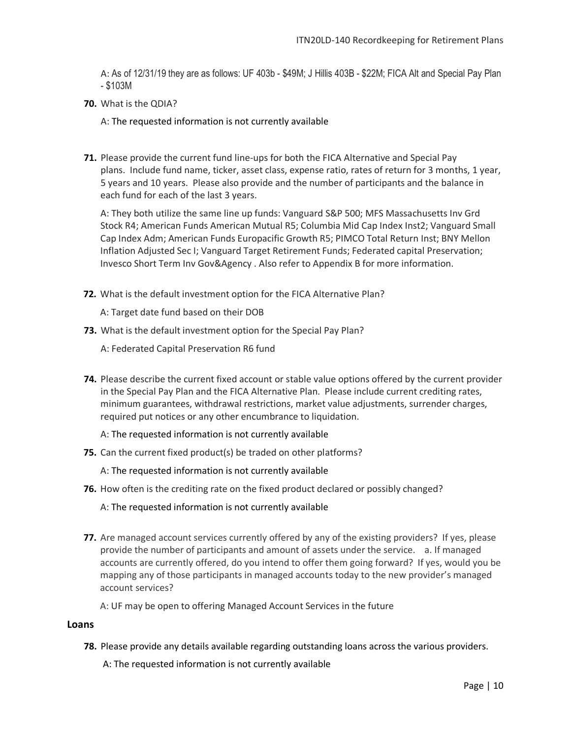A: As of 12/31/19 they are as follows: UF 403b - \$49M; J Hillis 403B - \$22M; FICA Alt and Special Pay Plan - \$103M

**70.** What is the QDIA?

A: The requested information is not currently available

**71.** Please provide the current fund line-ups for both the FICA Alternative and Special Pay plans. Include fund name, ticker, asset class, expense ratio, rates of return for 3 months, 1 year, 5 years and 10 years. Please also provide and the number of participants and the balance in each fund for each of the last 3 years.

A: They both utilize the same line up funds: Vanguard S&P 500; MFS Massachusetts Inv Grd Stock R4; American Funds American Mutual R5; Columbia Mid Cap Index Inst2; Vanguard Small Cap Index Adm; American Funds Europacific Growth R5; PIMCO Total Return Inst; BNY Mellon Inflation Adjusted Sec I; Vanguard Target Retirement Funds; Federated capital Preservation; Invesco Short Term Inv Gov&Agency . Also refer to Appendix B for more information.

**72.** What is the default investment option for the FICA Alternative Plan?

A: Target date fund based on their DOB

**73.** What is the default investment option for the Special Pay Plan?

A: Federated Capital Preservation R6 fund

- **74.** Please describe the current fixed account or stable value options offered by the current provider in the Special Pay Plan and the FICA Alternative Plan. Please include current crediting rates, minimum guarantees, withdrawal restrictions, market value adjustments, surrender charges, required put notices or any other encumbrance to liquidation.
	- A: The requested information is not currently available
- **75.** Can the current fixed product(s) be traded on other platforms?
	- A: The requested information is not currently available
- **76.** How often is the crediting rate on the fixed product declared or possibly changed?
	- A: The requested information is not currently available
- **77.** Are managed account services currently offered by any of the existing providers? If yes, please provide the number of participants and amount of assets under the service. a. If managed accounts are currently offered, do you intend to offer them going forward? If yes, would you be mapping any of those participants in managed accounts today to the new provider's managed account services?

A: UF may be open to offering Managed Account Services in the future

#### **Loans**

**78.** Please provide any details available regarding outstanding loans across the various providers.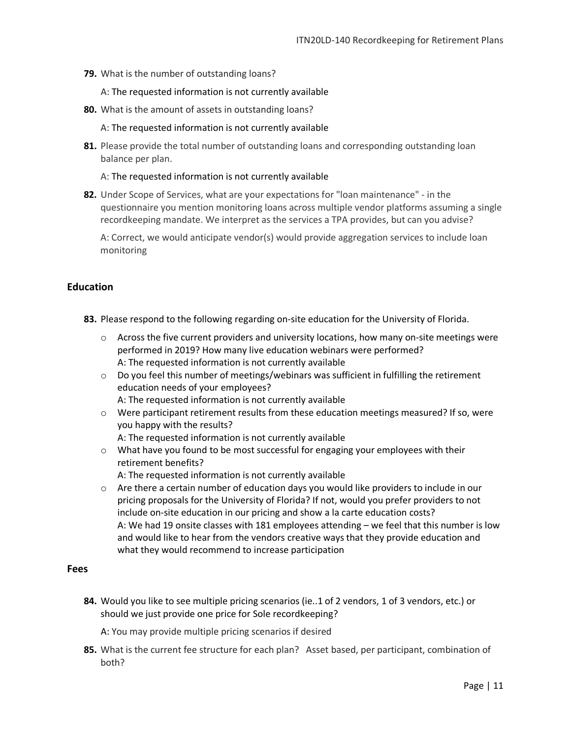- **79.** What is the number of outstanding loans?
	- A: The requested information is not currently available
- **80.** What is the amount of assets in outstanding loans?
	- A: The requested information is not currently available
- **81.** Please provide the total number of outstanding loans and corresponding outstanding loan balance per plan.

A: The requested information is not currently available

**82.** Under Scope of Services, what are your expectations for "loan maintenance" - in the questionnaire you mention monitoring loans across multiple vendor platforms assuming a single recordkeeping mandate. We interpret as the services a TPA provides, but can you advise?

A: Correct, we would anticipate vendor(s) would provide aggregation services to include loan monitoring

# **Education**

- **83.** Please respond to the following regarding on-site education for the University of Florida.
	- $\circ$  Across the five current providers and university locations, how many on-site meetings were performed in 2019? How many live education webinars were performed? A: The requested information is not currently available
	- $\circ$  Do you feel this number of meetings/webinars was sufficient in fulfilling the retirement education needs of your employees?
		- A: The requested information is not currently available
	- o Were participant retirement results from these education meetings measured? If so, were you happy with the results?
		- A: The requested information is not currently available
	- $\circ$  What have you found to be most successful for engaging your employees with their retirement benefits?
		- A: The requested information is not currently available
	- $\circ$  Are there a certain number of education days you would like providers to include in our pricing proposals for the University of Florida? If not, would you prefer providers to not include on-site education in our pricing and show a la carte education costs? A: We had 19 onsite classes with 181 employees attending – we feel that this number is low and would like to hear from the vendors creative ways that they provide education and what they would recommend to increase participation

# **Fees**

**84.** Would you like to see multiple pricing scenarios (ie..1 of 2 vendors, 1 of 3 vendors, etc.) or should we just provide one price for Sole recordkeeping?

A: You may provide multiple pricing scenarios if desired

**85.** What is the current fee structure for each plan? Asset based, per participant, combination of both?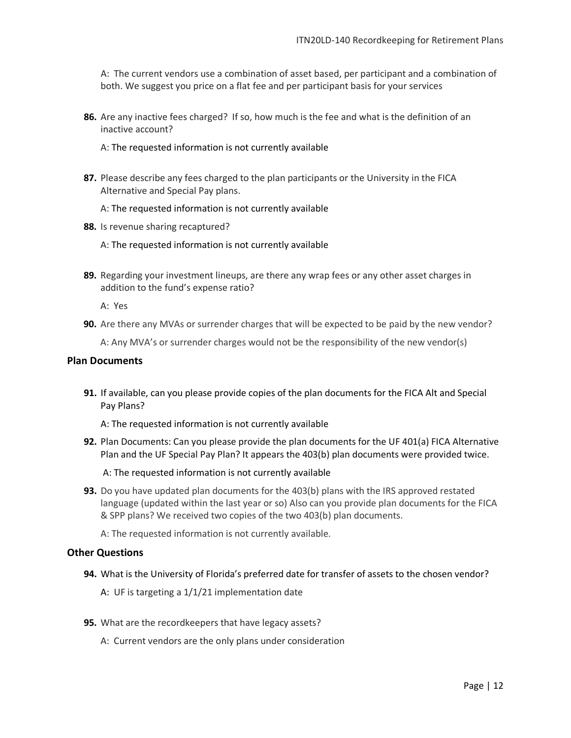A: The current vendors use a combination of asset based, per participant and a combination of both. We suggest you price on a flat fee and per participant basis for your services

**86.** Are any inactive fees charged? If so, how much is the fee and what is the definition of an inactive account?

A: The requested information is not currently available

**87.** Please describe any fees charged to the plan participants or the University in the FICA Alternative and Special Pay plans.

#### A: The requested information is not currently available

- **88.** Is revenue sharing recaptured?
	- A: The requested information is not currently available
- **89.** Regarding your investment lineups, are there any wrap fees or any other asset charges in addition to the fund's expense ratio?

A: Yes

**90.** Are there any MVAs or surrender charges that will be expected to be paid by the new vendor?

A: Any MVA's or surrender charges would not be the responsibility of the new vendor(s)

#### **Plan Documents**

**91.** If available, can you please provide copies of the plan documents for the FICA Alt and Special Pay Plans?

A: The requested information is not currently available

**92.** Plan Documents: Can you please provide the plan documents for the UF 401(a) FICA Alternative Plan and the UF Special Pay Plan? It appears the 403(b) plan documents were provided twice.

A: The requested information is not currently available

**93.** Do you have updated plan documents for the 403(b) plans with the IRS approved restated language (updated within the last year or so) Also can you provide plan documents for the FICA & SPP plans? We received two copies of the two 403(b) plan documents.

A: The requested information is not currently available.

#### **Other Questions**

**94.** What is the University of Florida's preferred date for transfer of assets to the chosen vendor?

A: UF is targeting a 1/1/21 implementation date

- **95.** What are the recordkeepers that have legacy assets?
	- A: Current vendors are the only plans under consideration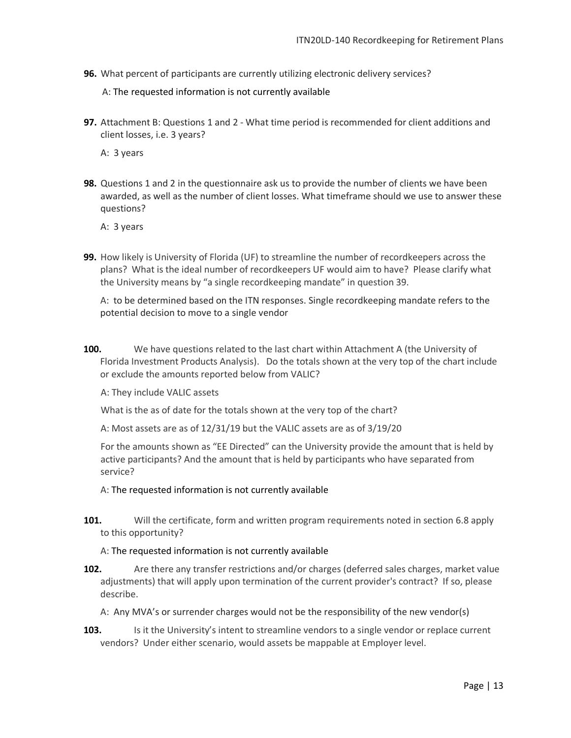**96.** What percent of participants are currently utilizing electronic delivery services?

A: The requested information is not currently available

**97.** Attachment B: Questions 1 and 2 - What time period is recommended for client additions and client losses, i.e. 3 years?

A: 3 years

**98.** Questions 1 and 2 in the questionnaire ask us to provide the number of clients we have been awarded, as well as the number of client losses. What timeframe should we use to answer these questions?

A: 3 years

**99.** How likely is University of Florida (UF) to streamline the number of recordkeepers across the plans? What is the ideal number of recordkeepers UF would aim to have? Please clarify what the University means by "a single recordkeeping mandate" in question 39.

A: to be determined based on the ITN responses. Single recordkeeping mandate refers to the potential decision to move to a single vendor

**100.** We have questions related to the last chart within Attachment A (the University of Florida Investment Products Analysis). Do the totals shown at the very top of the chart include or exclude the amounts reported below from VALIC?

A: They include VALIC assets

What is the as of date for the totals shown at the very top of the chart?

A: Most assets are as of 12/31/19 but the VALIC assets are as of 3/19/20

For the amounts shown as "EE Directed" can the University provide the amount that is held by active participants? And the amount that is held by participants who have separated from service?

- A: The requested information is not currently available
- **101.** Will the certificate, form and written program requirements noted in section 6.8 apply to this opportunity?

- **102.** Are there any transfer restrictions and/or charges (deferred sales charges, market value adjustments) that will apply upon termination of the current provider's contract? If so, please describe.
	- A: Any MVA's or surrender charges would not be the responsibility of the new vendor(s)
- **103.** Is it the University's intent to streamline vendors to a single vendor or replace current vendors? Under either scenario, would assets be mappable at Employer level.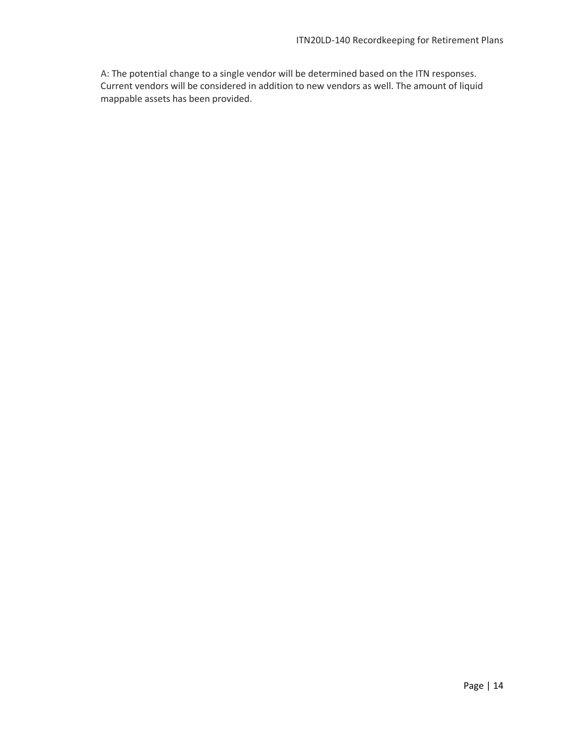A: The potential change to a single vendor will be determined based on the ITN responses. Current vendors will be considered in addition to new vendors as well. The amount of liquid mappable assets has been provided.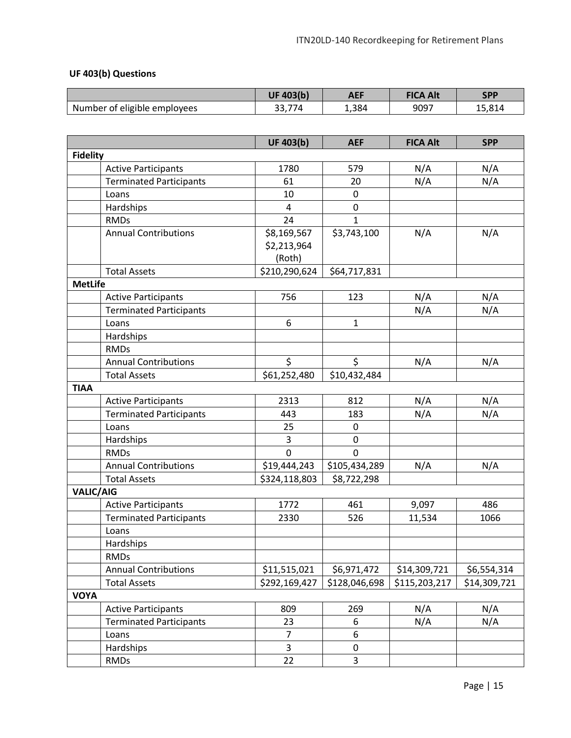# **UF 403(b) Questions**

|                              | <b>UF 403(b)</b>   | <b>AEF</b> | <b>FICA Alt</b> | <b>SPP</b> |
|------------------------------|--------------------|------------|-----------------|------------|
| Number of eligible employees | $- -$<br>ີ<br>. دد | 1,384      | 9097            | 15,814     |

|                  |                                | <b>UF 403(b)</b>        | <b>AEF</b>    | <b>FICA Alt</b> | <b>SPP</b>   |
|------------------|--------------------------------|-------------------------|---------------|-----------------|--------------|
| <b>Fidelity</b>  |                                |                         |               |                 |              |
|                  | <b>Active Participants</b>     | 1780                    | 579           | N/A             | N/A          |
|                  | <b>Terminated Participants</b> | 61                      | 20            | N/A             | N/A          |
|                  | Loans                          | 10                      | $\mathbf 0$   |                 |              |
|                  | Hardships                      | $\overline{a}$          | 0             |                 |              |
|                  | <b>RMDs</b>                    | 24                      | $\mathbf{1}$  |                 |              |
|                  | <b>Annual Contributions</b>    | \$8,169,567             | \$3,743,100   | N/A             | N/A          |
|                  |                                | \$2,213,964             |               |                 |              |
|                  |                                | (Roth)                  |               |                 |              |
|                  | <b>Total Assets</b>            | \$210,290,624           | \$64,717,831  |                 |              |
| <b>MetLife</b>   |                                |                         |               |                 |              |
|                  | <b>Active Participants</b>     | 756                     | 123           | N/A             | N/A          |
|                  | <b>Terminated Participants</b> |                         |               | N/A             | N/A          |
|                  | Loans                          | 6                       | $\mathbf{1}$  |                 |              |
|                  | Hardships                      |                         |               |                 |              |
|                  | <b>RMDs</b>                    |                         |               |                 |              |
|                  | <b>Annual Contributions</b>    | \$                      | \$            | N/A             | N/A          |
|                  | <b>Total Assets</b>            | \$61,252,480            | \$10,432,484  |                 |              |
| <b>TIAA</b>      |                                |                         |               |                 |              |
|                  | <b>Active Participants</b>     | 2313                    | 812           | N/A             | N/A          |
|                  | <b>Terminated Participants</b> | 443                     | 183           | N/A             | N/A          |
|                  | Loans                          | 25                      | 0             |                 |              |
|                  | Hardships                      | 3                       | $\mathbf 0$   |                 |              |
|                  | <b>RMDs</b>                    | 0                       | 0             |                 |              |
|                  | <b>Annual Contributions</b>    | \$19,444,243            | \$105,434,289 | N/A             | N/A          |
|                  | <b>Total Assets</b>            | \$324,118,803           | \$8,722,298   |                 |              |
| <b>VALIC/AIG</b> |                                |                         |               |                 |              |
|                  | <b>Active Participants</b>     | 1772                    | 461           | 9,097           | 486          |
|                  | <b>Terminated Participants</b> | 2330                    | 526           | 11,534          | 1066         |
|                  | Loans                          |                         |               |                 |              |
|                  | Hardships                      |                         |               |                 |              |
|                  | <b>RMDs</b>                    |                         |               |                 |              |
|                  | <b>Annual Contributions</b>    | \$11,515,021            | \$6,971,472   | \$14,309,721    | \$6,554,314  |
|                  | <b>Total Assets</b>            | \$292,169,427           | \$128,046,698 | \$115,203,217   | \$14,309,721 |
| <b>VOYA</b>      |                                |                         |               |                 |              |
|                  | <b>Active Participants</b>     | 809                     | 269           | N/A             | N/A          |
|                  | <b>Terminated Participants</b> | 23                      | 6             | N/A             | N/A          |
|                  | Loans                          | $\overline{7}$          | 6             |                 |              |
|                  | Hardships                      | $\overline{\mathbf{3}}$ | $\pmb{0}$     |                 |              |
|                  | <b>RMDs</b>                    | 22                      | 3             |                 |              |